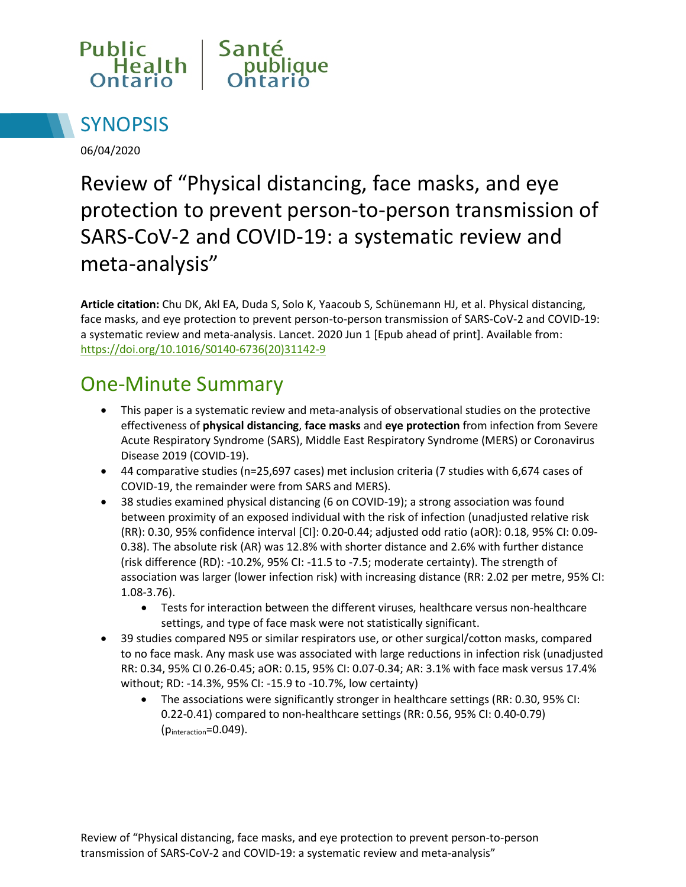



06/04/2020

# Review of "Physical distancing, face masks, and eye protection to prevent person-to-person transmission of SARS-CoV-2 and COVID-19: a systematic review and meta-analysis"

**Article citation:** Chu DK, Akl EA, Duda S, Solo K, Yaacoub S, Schünemann HJ, et al. Physical distancing, face masks, and eye protection to prevent person-to-person transmission of SARS-CoV-2 and COVID-19: a systematic review and meta-analysis. Lancet. 2020 Jun 1 [Epub ahead of print]. Available from: [https://doi.org/10.1016/S0140-6736\(20\)31142-9](https://doi.org/10.1016/S0140-6736(20)31142-9)

## One-Minute Summary

- This paper is a systematic review and meta-analysis of observational studies on the protective effectiveness of **physical distancing**, **face masks** and **eye protection** from infection from Severe Acute Respiratory Syndrome (SARS), Middle East Respiratory Syndrome (MERS) or Coronavirus Disease 2019 (COVID-19).
- 44 comparative studies (n=25,697 cases) met inclusion criteria (7 studies with 6,674 cases of COVID-19, the remainder were from SARS and MERS).
- 38 studies examined physical distancing (6 on COVID-19); a strong association was found between proximity of an exposed individual with the risk of infection (unadjusted relative risk (RR): 0.30, 95% confidence interval [CI]: 0.20-0.44; adjusted odd ratio (aOR): 0.18, 95% CI: 0.09- 0.38). The absolute risk (AR) was 12.8% with shorter distance and 2.6% with further distance (risk difference (RD): -10.2%, 95% CI: -11.5 to -7.5; moderate certainty). The strength of association was larger (lower infection risk) with increasing distance (RR: 2.02 per metre, 95% CI: 1.08-3.76).
	- Tests for interaction between the different viruses, healthcare versus non-healthcare settings, and type of face mask were not statistically significant.
- 39 studies compared N95 or similar respirators use, or other surgical/cotton masks, compared to no face mask. Any mask use was associated with large reductions in infection risk (unadjusted RR: 0.34, 95% CI 0.26-0.45; aOR: 0.15, 95% CI: 0.07-0.34; AR: 3.1% with face mask versus 17.4% without; RD: -14.3%, 95% CI: -15.9 to -10.7%, low certainty)
	- The associations were significantly stronger in healthcare settings (RR: 0.30, 95% CI: 0.22-0.41) compared to non-healthcare settings (RR: 0.56, 95% CI: 0.40-0.79) (pinteraction=0.049).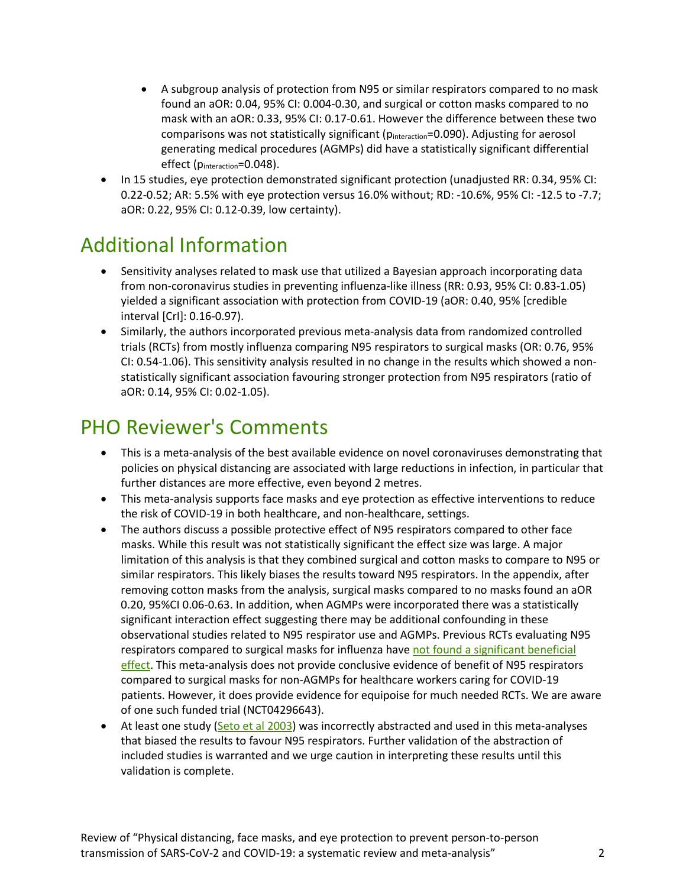- A subgroup analysis of protection from N95 or similar respirators compared to no mask found an aOR: 0.04, 95% CI: 0.004-0.30, and surgical or cotton masks compared to no mask with an aOR: 0.33, 95% CI: 0.17-0.61. However the difference between these two comparisons was not statistically significant (pinteraction=0.090). Adjusting for aerosol generating medical procedures (AGMPs) did have a statistically significant differential effect (pinteraction=0.048).
- In 15 studies, eye protection demonstrated significant protection (unadjusted RR: 0.34, 95% CI: 0.22-0.52; AR: 5.5% with eye protection versus 16.0% without; RD: -10.6%, 95% CI: -12.5 to -7.7; aOR: 0.22, 95% CI: 0.12-0.39, low certainty).

### Additional Information

- Sensitivity analyses related to mask use that utilized a Bayesian approach incorporating data from non-coronavirus studies in preventing influenza-like illness (RR: 0.93, 95% CI: 0.83-1.05) yielded a significant association with protection from COVID-19 (aOR: 0.40, 95% [credible interval [CrI]: 0.16-0.97).
- Similarly, the authors incorporated previous meta-analysis data from randomized controlled trials (RCTs) from mostly influenza comparing N95 respirators to surgical masks (OR: 0.76, 95% CI: 0.54-1.06). This sensitivity analysis resulted in no change in the results which showed a nonstatistically significant association favouring stronger protection from N95 respirators (ratio of aOR: 0.14, 95% CI: 0.02-1.05).

#### PHO Reviewer's Comments

- This is a meta-analysis of the best available evidence on novel coronaviruses demonstrating that policies on physical distancing are associated with large reductions in infection, in particular that further distances are more effective, even beyond 2 metres.
- This meta-analysis supports face masks and eye protection as effective interventions to reduce the risk of COVID-19 in both healthcare, and non-healthcare, settings.
- The authors discuss a possible protective effect of N95 respirators compared to other face masks. While this result was not statistically significant the effect size was large. A major limitation of this analysis is that they combined surgical and cotton masks to compare to N95 or similar respirators. This likely biases the results toward N95 respirators. In the appendix, after removing cotton masks from the analysis, surgical masks compared to no masks found an aOR 0.20, 95%CI 0.06-0.63. In addition, when AGMPs were incorporated there was a statistically significant interaction effect suggesting there may be additional confounding in these observational studies related to N95 respirator use and AGMPs. Previous RCTs evaluating N95 respirators compared to surgical masks for influenza have not found a significant beneficial [effect.](https://doi.org/10.1111/irv.12745) This meta-analysis does not provide conclusive evidence of benefit of N95 respirators compared to surgical masks for non-AGMPs for healthcare workers caring for COVID-19 patients. However, it does provide evidence for equipoise for much needed RCTs. We are aware of one such funded trial (NCT04296643).
- At least one study [\(Seto et al 2003\)](https://doi.org/10.1016/S0140-6736(03)13168-6) was incorrectly abstracted and used in this meta-analyses that biased the results to favour N95 respirators. Further validation of the abstraction of included studies is warranted and we urge caution in interpreting these results until this validation is complete.